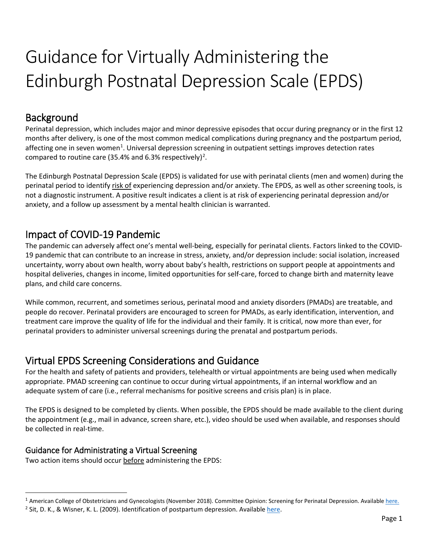# Guidance for Virtually Administering the Edinburgh Postnatal Depression Scale (EPDS)

## Background

Perinatal depression, which includes major and minor depressive episodes that occur during pregnancy or in the first 12 months after delivery, is one of the most common medical complications during pregnancy and the postpartum period, affecting one in seven women<sup>[1](#page-0-0)</sup>. Universal depression screening in outpatient settings improves detection rates compared to routine care (35.4% and 6.3% respectively)<sup>[2](#page-0-1)</sup>.

The Edinburgh Postnatal Depression Scale (EPDS) is validated for use with perinatal clients (men and women) during the perinatal period to identify risk of experiencing depression and/or anxiety. The EPDS, as well as other screening tools, is not a diagnostic instrument. A positive result indicates a client is at risk of experiencing perinatal depression and/or anxiety, and a follow up assessment by a mental health clinician is warranted.

## Impact of COVID-19 Pandemic

The pandemic can adversely affect one's mental well-being, especially for perinatal clients. Factors linked to the COVID-19 pandemic that can contribute to an increase in stress, anxiety, and/or depression include: social isolation, increased uncertainty, worry about own health, worry about baby's health, restrictions on support people at appointments and hospital deliveries, changes in income, limited opportunities for self-care, forced to change birth and maternity leave plans, and child care concerns.

While common, recurrent, and sometimes serious, perinatal mood and anxiety disorders (PMADs) are treatable, and people do recover. Perinatal providers are encouraged to screen for PMADs, as early identification, intervention, and treatment care improve the quality of life for the individual and their family. It is critical, now more than ever, for perinatal providers to administer universal screenings during the prenatal and postpartum periods.

## Virtual EPDS Screening Considerations and Guidance

For the health and safety of patients and providers, telehealth or virtual appointments are being used when medically appropriate. PMAD screening can continue to occur during virtual appointments, if an internal workflow and an adequate system of care (i.e., referral mechanisms for positive screens and crisis plan) is in place.

The EPDS is designed to be completed by clients. When possible, the EPDS should be made available to the client during the appointment (e.g., mail in advance, screen share, etc.), video should be used when available, and responses should be collected in real-time.

### Guidance for Administrating a Virtual Screening

Two action items should occur before administering the EPDS:

<span id="page-0-0"></span> $1$  American College of Obstetricians and Gynecologists (November 2018). Committee Opinion: Screening for Perinatal Depression. Available [here.](https://www.acog.org/clinical/clinical-guidance/committee-opinion/articles/2018/11/screening-for-perinatal-depression)

<span id="page-0-1"></span><sup>&</sup>lt;sup>2</sup> Sit, D. K., & Wisner, K. L. (2009). Identification of postpartum depression. Availabl[e here.](https://www.ncbi.nlm.nih.gov/pmc/articles/PMC2736559/)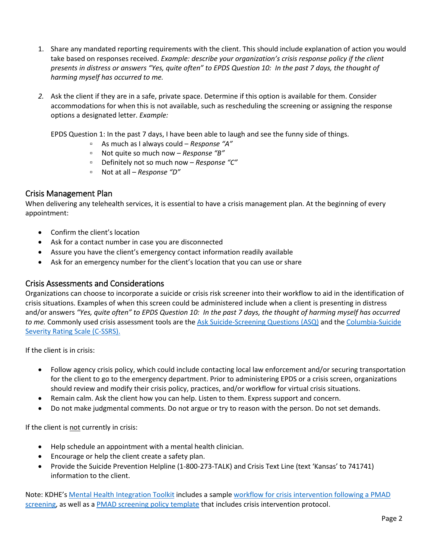- 1. Share any mandated reporting requirements with the client. This should include explanation of action you would take based on responses received. *Example: describe your organization's crisis response policy if the client presents in distress or answers "Yes, quite often" to EPDS Question 10: In the past 7 days, the thought of harming myself has occurred to me.*
- *2.* Ask the client if they are in a safe, private space. Determine if this option is available for them. Consider accommodations for when this is not available, such as rescheduling the screening or assigning the response options a designated letter. *Example:*

EPDS Question 1: In the past 7 days, I have been able to laugh and see the funny side of things.

- As much as I always could *Response "A"*
- Not quite so much now *Response "B"*
- Definitely not so much now *Response "C"*
- Not at all *Response "D"*

#### Crisis Management Plan

When delivering any telehealth services, it is essential to have a crisis management plan. At the beginning of every appointment:

- Confirm the client's location
- Ask for a contact number in case you are disconnected
- Assure you have the client's emergency contact information readily available
- Ask for an emergency number for the client's location that you can use or share

#### Crisis Assessments and Considerations

Organizations can choose to incorporate a suicide or crisis risk screener into their workflow to aid in the identification of crisis situations. Examples of when this screen could be administered include when a client is presenting in distress and/or answers *"Yes, quite often" to EPDS Question 10: In the past 7 days, the thought of harming myself has occurred to me.* Commonly used crisis assessment tools are th[e Ask Suicide-Screening Questions \(ASQ\)](https://www.nimh.nih.gov/research/research-conducted-at-nimh/asq-toolkit-materials/index.shtml) and the [Columbia-Suicide](https://cssrs.columbia.edu/the-columbia-scale-c-ssrs/cssrs-for-communities-and-healthcare/#filter=.general-use.english)  [Severity Rating Scale \(C-SSRS\).](https://cssrs.columbia.edu/the-columbia-scale-c-ssrs/cssrs-for-communities-and-healthcare/#filter=.general-use.english)

If the client is in crisis:

- Follow agency crisis policy, which could include contacting local law enforcement and/or securing transportation for the client to go to the emergency department. Prior to administering EPDS or a crisis screen, organizations should review and modify their crisis policy, practices, and/or workflow for virtual crisis situations.
- Remain calm. Ask the client how you can help. Listen to them. Express support and concern.
- Do not make judgmental comments. Do not argue or try to reason with the person. Do not set demands.

If the client is not currently in crisis:

- Help schedule an appointment with a mental health clinician.
- Encourage or help the client create a safety plan.
- Provide the Suicide Prevention Helpline (1-800-273-TALK) and Crisis Text Line (text 'Kansas' to 741741) information to the client.

Note: KDHE'[s Mental Health Integration Toolkit](https://www.kdheks.gov/c-f/mental_health_integration.htm) includes a sample workflow for crisis intervention following a PMAD [screening,](https://www.kdheks.gov/c-f/integration_toolkits/Crisis_Intervention_Following_PMAD_Screening.pdf) as well as a [PMAD screening policy template](https://www.kdheks.gov/c-f/integration_toolkits/Sample_Model_Policy_for_PMAD_Screening.docx) that includes crisis intervention protocol.